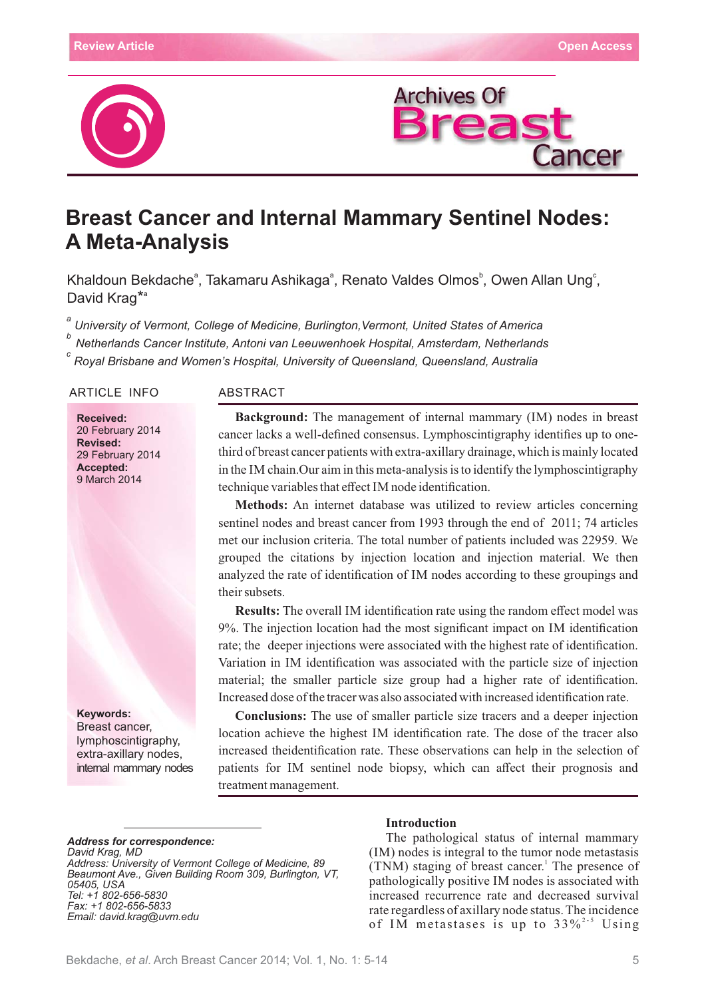



# **Breast Cancer and Internal Mammary Sentinel Nodes: A Meta-Analysis**

Khaldoun Bekdache<sup>a</sup>, Takamaru Ashikaga<sup>a</sup>, Renato Valdes Olmos<sup>b</sup>, Owen Allan Ung<sup>e</sup>, David Krag<sup>\*a</sup>

*a University of Vermont, College of Medicine, Burlington,Vermont, United States of America*

*Netherlands Cancer Institute, Antoni van Leeuwenhoek Hospital, Amsterdam, Netherlands <sup>b</sup>*

*Royal Brisbane and Women's Hospital, University of Queensland, Queensland, Australia <sup>c</sup>*

#### ARTICLE INFO ABSTRACT

**Received:** 20 February 2014 **Revised:** 29 February 2014 **Accepted:** 9 March 2014

**Keywords:** Breast cancer, lymphoscintigraphy, extra-axillary nodes, internal mammary nodes

**Background:** The management of internal mammary (IM) nodes in breast cancer lacks a well-defined consensus. Lymphoscintigraphy identifies up to onethird of breast cancer patients with extra-axillary drainage, which is mainly located in the IM chain.Our aim in this meta-analysis is to identify the lymphoscintigraphy technique variables that effect IM node identification.

**Methods:** An internet database was utilized to review articles concerning sentinel nodes and breast cancer from 1993 through the end of 2011; 74 articles met our inclusion criteria. The total number of patients included was 22959. We grouped the citations by injection location and injection material. We then analyzed the rate of identification of IM nodes according to these groupings and their subsets.

**Results:** The overall IM identification rate using the random effect model was 9%. The injection location had the most significant impact on IM identification rate; the deeper injections were associated with the highest rate of identification. Variation in IM identification was associated with the particle size of injection material; the smaller particle size group had a higher rate of identification. Increased dose of the tracer was also associated with increased identification rate.

**Conclusions:** The use of smaller particle size tracers and a deeper injection location achieve the highest IM identification rate. The dose of the tracer also increased theidentification rate. These observations can help in the selection of patients for IM sentinel node biopsy, which can affect their prognosis and treatment management.

# *Address for correspondence:*

*David Krag, MD Address: University of Vermont College of Medicine, 89 Beaumont Ave., Given Building Room 309, Burlington, VT, 05405, USA Tel: +1 802-656-5830 Fax: +1 802-656-5833 Email: david.krag@uvm.edu*

#### **Introduction**

The pathological status of internal mammary  $(IM)$  nodes is integral to the tumor node metastasis  $(TNM)$  staging of breast cancer.<sup>1</sup> The presence of pathologically positive IM nodes is associated with increased recurrence rate and decreased survival rate regardless of axillary node status. The incidence of IM metastases is up to  $33\%^{2.5}$  Using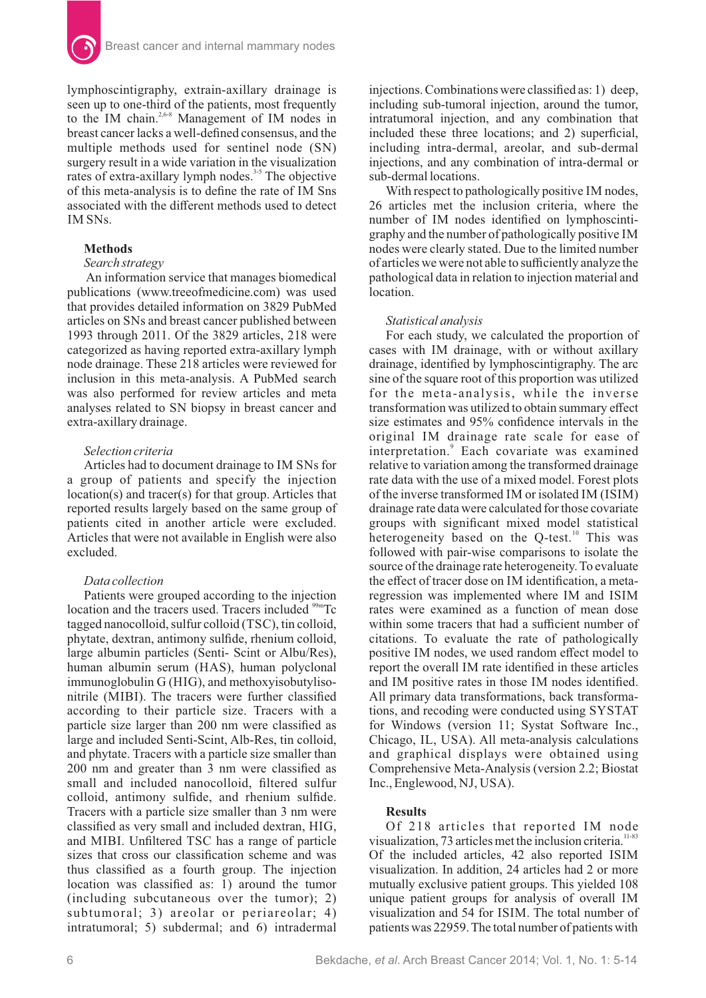

lymphoscintigraphy, extrain-axillary drainage is seen up to one-third of the patients, most frequently to the IM chain.<sup>2,6-8</sup> Management of IM nodes in breast cancer lacks a well-defined consensus, and the multiple methods used for sentinel node (SN) surgery result in a wide variation in the visualization rates of extra-axillary lymph nodes.<sup> $3-5$ </sup> The objective of this meta-analysis is to define the rate of IM Sns associated with the different methods used to detect IM SNs.

# **Methods**

#### *Search strategy*

An information service that manages biomedical publications (www.treeofmedicine.com) was used that provides detailed information on 3829 PubMed articles on SNs and breast cancer published between 1993 through 2011. Of the 3829 articles, 218 were categorized as having reported extra-axillary lymph node drainage. These 218 articles were reviewed for inclusion in this meta-analysis. A PubMed search was also performed for review articles and meta analyses related to SN biopsy in breast cancer and extra-axillary drainage.

## *Selection criteria*

Articles had to document drainage to IM SNs for a group of patients and specify the injection location(s) and tracer(s) for that group. Articles that reported results largely based on the same group of patients cited in another article were excluded. Articles that were not available in English were also excluded.

## *Data collection*

Patients were grouped according to the injection location and the tracers used. Tracers included  $\rm$ <sup>99m</sup>Tc tagged nanocolloid, sulfur colloid  $(TSC)$ , tin colloid, phytate, dextran, antimony sulfide, rhenium colloid, large albumin particles (Senti- Scint or Albu/Res), human albumin serum (HAS), human polyclonal  $immunoglobin G (HIG)$ , and methoxyisobutylisonitrile (MIBI). The tracers were further classified according to their particle size. Tracers with a particle size larger than 200 nm were classified as large and included Senti-Scint, Alb-Res, tin colloid, and phytate. Tracers with a particle size smaller than 200 nm and greater than 3 nm were classified as small and included nanocolloid, filtered sulfur colloid, antimony sulfide, and rhenium sulfide. Tracers with a particle size smaller than 3 nm were classified as very small and included dextran, HIG, and MIBI. Unfiltered TSC has a range of particle sizes that cross our classification scheme and was thus classified as a fourth group. The injection location was classified as: 1) around the tumor (including subcutaneous over the tumor); 2) subtumoral; 3) areolar or periareolar; 4) intratumoral; 5) subdermal; and 6) intradermal injections. Combinations were classified as: 1) deep, including sub-tumoral injection, around the tumor, intratumoral injection, and any combination that included these three locations; and 2) superficial, including intra-dermal, areolar, and sub-dermal injections, and any combination of intra-dermal or sub-dermal locations.

With respect to pathologically positive IM nodes, 26 articles met the inclusion criteria, where the number of IM nodes identified on lymphoscintigraphy and the number of pathologically positive IM nodes were clearly stated. Due to the limited number of articles we were not able to sufficiently analyze the pathological data in relation to injection material and location.

#### *Statistical analysis*

For each study, we calculated the proportion of cases with IM drainage, with or without axillary drainage, identified by lymphoscintigraphy. The arc sine of the square root of this proportion was utilized for the meta-analysis, while the inverse transformation was utilized to obtain summary effect size estimates and 95% confidence intervals in the original IM drainage rate scale for ease of interpretation.<sup>9</sup> Each covariate was examined relative to variation among the transformed drainage rate data with the use of a mixed model. Forest plots of the inverse transformed IM or isolated IM (ISIM) drainage rate data were calculated for those covariate groups with significant mixed model statistical heterogeneity based on the Q-test.<sup>10</sup> This was followed with pair-wise comparisons to isolate the source of the drainage rate heterogeneity. To evaluate the effect of tracer dose on IM identification, a metaregression was implemented where IM and ISIM rates were examined as a function of mean dose within some tracers that had a sufficient number of citations. To evaluate the rate of pathologically positive IM nodes, we used random effect model to report the overall IM rate identified in these articles and IM positive rates in those IM nodes identified. All primary data transformations, back transformations, and recoding were conducted using SYSTAT for Windows (version 11; Systat Software Inc., Chicago, IL, USA). All meta-analysis calculations and graphical displays were obtained using Comprehensive Meta-Analysis (version 2.2; Biostat Inc., Englewood, NJ, USA).

# **Results**

Of 218 articles that reported IM node visualization,  $73$  articles met the inclusion criteria.<sup>11-83</sup> Of the included articles, 42 also reported ISIM visualization. In addition, 24 articles had 2 or more mutually exclusive patient groups. This yielded 108 unique patient groups for analysis of overall IM visualization and 54 for ISIM. The total number of patients was 22959. The total number of patients with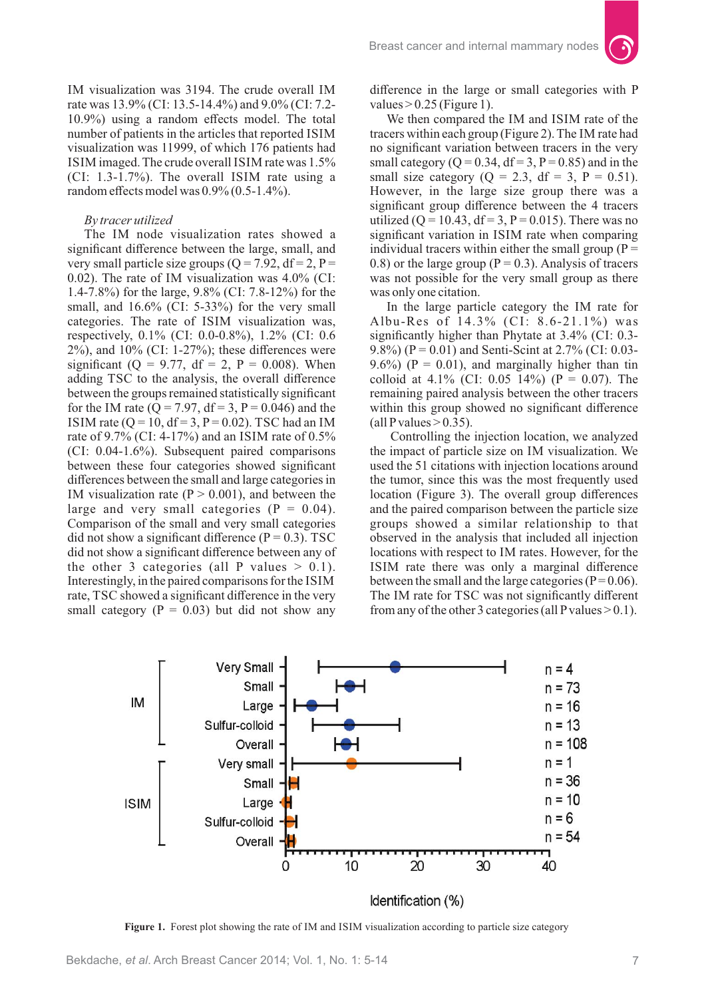IM visualization was 3194. The crude overall IM rate was 13.9% (CI: 13.5-14.4%) and 9.0% (CI: 7.2-10.9%) using a random effects model. The total number of patients in the articles that reported ISIM visualization was 11999, of which 176 patients had ISIM imaged. The crude overall ISIM rate was 1.5%  $(CI: 1.3-1.7\%)$ . The overall ISIM rate using a random effects model was 0.9% (0.5-1.4%).

# *By tracer utilized*

The IM node visualization rates showed a significant difference between the large, small, and very small particle size groups  $(Q = 7.92, df = 2, P =$ 0.02). The rate of IM visualization was  $4.0\%$  (CI: 1.4-7.8%) for the large,  $9.8\%$  (CI: 7.8-12%) for the small, and  $16.6\%$  (CI: 5-33%) for the very small categories. The rate of ISIM visualization was, respectively,  $0.1\%$  (CI: 0.0-0.8%), 1.2% (CI: 0.6  $2\%$ ), and  $10\%$  (CI: 1-27%); these differences were significant (Q = 9.77, df = 2, P = 0.008). When adding TSC to the analysis, the overall difference between the groups remained statistically significant for the IM rate ( $\overline{Q} = 7.97$ , df = 3, P = 0.046) and the ISIM rate ( $Q = 10$ ,  $df = 3$ ,  $P = 0.02$ ). TSC had an IM rate of 9.7% (CI: 4-17%) and an ISIM rate of  $0.5\%$  $(CI: 0.04-1.6\%)$ . Subsequent paired comparisons between these four categories showed significant differences between the small and large categories in IM visualization rate ( $P > 0.001$ ), and between the large and very small categories  $(P = 0.04)$ . Comparison of the small and very small categories did not show a significant difference  $(P = 0.3)$ . TSC did not show a significant difference between any of the other 3 categories (all P values  $> 0.1$ ). Interestingly, in the paired comparisons for the ISIM rate, TSC showed a significant difference in the very small category ( $P = 0.03$ ) but did not show any difference in the large or small categories with P values  $> 0.25$  (Figure 1).

We then compared the IM and ISIM rate of the tracers within each group (Figure 2). The IM rate had no significant variation between tracers in the very small category ( $Q = 0.34$ ,  $df = 3$ ,  $P = 0.85$ ) and in the small size category  $(O = 2.3, df = 3, P = 0.51)$ . However, in the large size group there was a significant group difference between the 4 tracers utilized (Q = 10.43, df = 3, P = 0.015). There was no significant variation in ISIM rate when comparing individual tracers within either the small group  $(P =$ 0.8) or the large group ( $P = 0.3$ ). Analysis of tracers was not possible for the very small group as there was only one citation.

In the large particle category the IM rate for Albu-Res of  $14.3\%$  (CI: 8.6-21.1%) was significantly higher than Phytate at  $3.4\%$  (CI: 0.3-9.8%) ( $P = 0.01$ ) and Senti-Scint at 2.7% (CI: 0.03-9.6%) ( $P = 0.01$ ), and marginally higher than tin colloid at 4.1% (CI: 0.05 14%) (P = 0.07). The remaining paired analysis between the other tracers within this group showed no significant difference (all P values  $> 0.35$ ).

Controlling the injection location, we analyzed the impact of particle size on IM visualization. We used the 51 citations with injection locations around the tumor, since this was the most frequently used location (Figure 3). The overall group differences and the paired comparison between the particle size groups showed a similar relationship to that observed in the analysis that included all injection locations with respect to IM rates. However, for the ISIM rate there was only a marginal difference between the small and the large categories ( $P = 0.06$ ). The IM rate for TSC was not significantly different from any of the other 3 categories (all P values  $> 0.1$ ).



Figure 1. Forest plot showing the rate of IM and ISIM visualization according to particle size category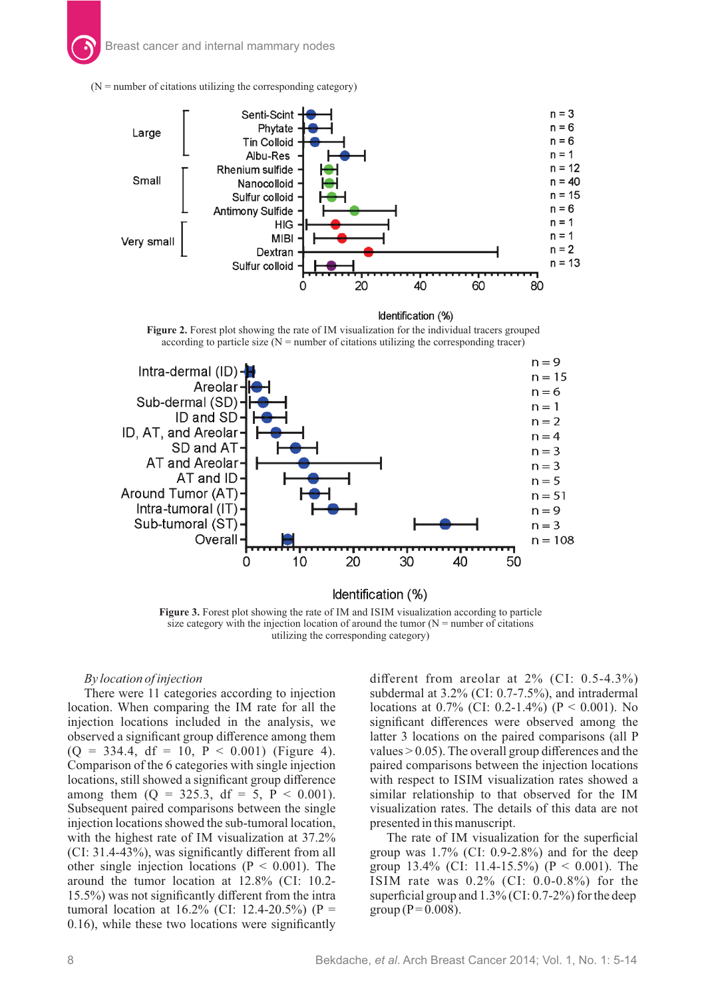



Identification (%)

Figure 2. Forest plot showing the rate of IM visualization for the individual tracers grouped according to particle size  $(N =$  number of citations utilizing the corresponding tracer)



**Figure 3.** Forest plot showing the rate of IM and ISIM visualization according to particle size category with the injection location of around the tumor  $(N =$  number of citations utilizing the corresponding category)

# *By location of injection*

There were 11 categories according to injection location. When comparing the IM rate for all the injection locations included in the analysis, we observed a significant group difference among them  $(Q = 334.4, df = 10, P < 0.001)$  (Figure 4). Comparison of the 6 categories with single injection locations, still showed a significant group difference among them  $(Q = 325.3, df = 5, P < 0.001)$ . Subsequent paired comparisons between the single injection locations showed the sub-tumoral location, with the highest rate of IM visualization at  $37.2\%$  $(CI: 31.4-43%)$ , was significantly different from all other single injection locations ( $P < 0.001$ ). The around the tumor location at  $12.8\%$  (CI: 10.2-15.5%) was not significantly different from the intra tumoral location at  $16.2\%$  (CI: 12.4-20.5%) (P = 0.16), while these two locations were significantly

different from areolar at  $2\%$  (CI: 0.5-4.3%) subdermal at  $3.2\%$  (CI: 0.7-7.5%), and intradermal locations at 0.7% (CI: 0.2-1.4%) (P < 0.001). No significant differences were observed among the latter 3 locations on the paired comparisons (all P values  $> 0.05$ ). The overall group differences and the paired comparisons between the injection locations with respect to ISIM visualization rates showed a similar relationship to that observed for the IM visualization rates. The details of this data are not presented in this manuscript.

The rate of IM visualization for the superficial group was  $1.7\%$  (CI: 0.9-2.8%) and for the deep group  $13.4\%$  (CI: 11.4-15.5%) (P < 0.001). The ISIM rate was  $0.2\%$  (CI: 0.0-0.8%) for the superficial group and  $1.3\%$  (CI: 0.7-2%) for the deep group ( $P = 0.008$ ).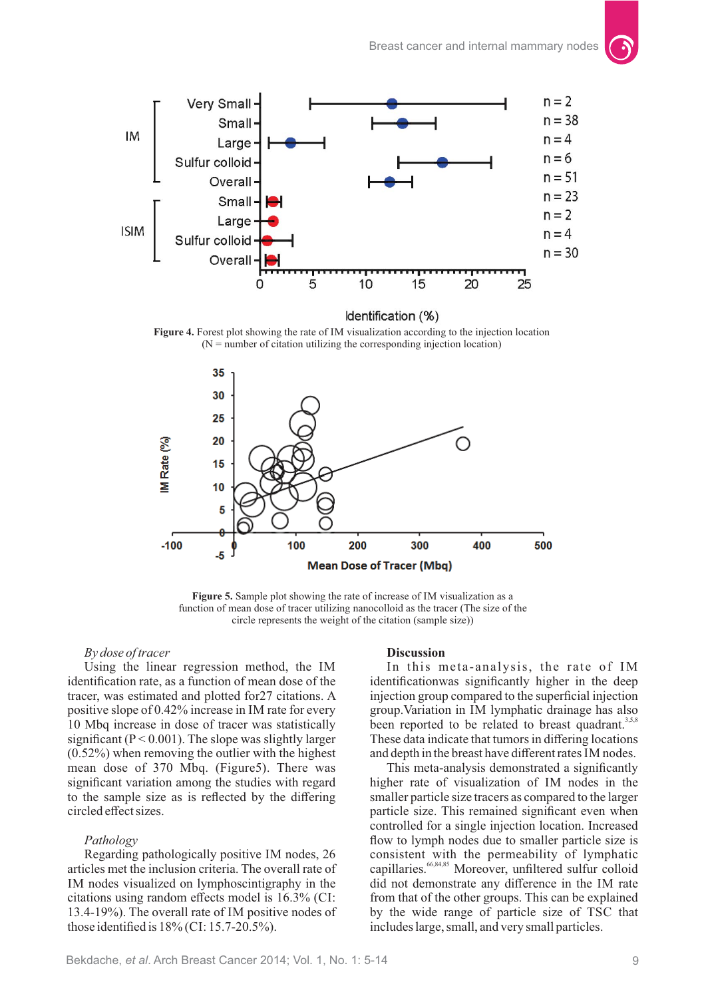

Identification (%)

**Figure 4.** Forest plot showing the rate of IM visualization according to the injection location  $(N =$  number of citation utilizing the corresponding injection location)



Figure 5. Sample plot showing the rate of increase of IM visualization as a function of mean dose of tracer utilizing nanocolloid as the tracer (The size of the circle represents the weight of the citation (sample size))

#### *By dose of tracer*

Using the linear regression method, the IM identification rate, as a function of mean dose of the tracer, was estimated and plotted for27 citations. A positive slope of 0.42% increase in IM rate for every 10 Mbq increase in dose of tracer was statistically significant ( $P < 0.001$ ). The slope was slightly larger (0.52%) when removing the outlier with the highest mean dose of 370 Mbq. (Figure5). There was significant variation among the studies with regard to the sample size as is reflected by the differing circled effect sizes.

#### *Pathology*

Regarding pathologically positive IM nodes, 26 articles met the inclusion criteria. The overall rate of IM nodes visualized on lymphoscintigraphy in the citations using random effects model is  $16.3\%$  (CI: 13.4-19%). The overall rate of IM positive nodes of those identified is  $18\%$  (CI: 15.7-20.5%).

#### **Discussion**

In this meta-analysis, the rate of IM identificationwas significantly higher in the deep injection group compared to the superficial injection group. Variation in IM lymphatic drainage has also been reported to be related to breast quadrant.<sup>3,5,8</sup> These data indicate that tumors in differing locations and depth in the breast have different rates IM nodes.

This meta-analysis demonstrated a significantly higher rate of visualization of IM nodes in the smaller particle size tracers as compared to the larger particle size. This remained significant even when controlled for a single injection location. Increased flow to lymph nodes due to smaller particle size is consistent with the permeability of lymphatic capillaries.  $66,84,85$  Moreover, unfiltered sulfur colloid did not demonstrate any difference in the IM rate from that of the other groups. This can be explained by the wide range of particle size of TSC that includes large, small, and very small particles.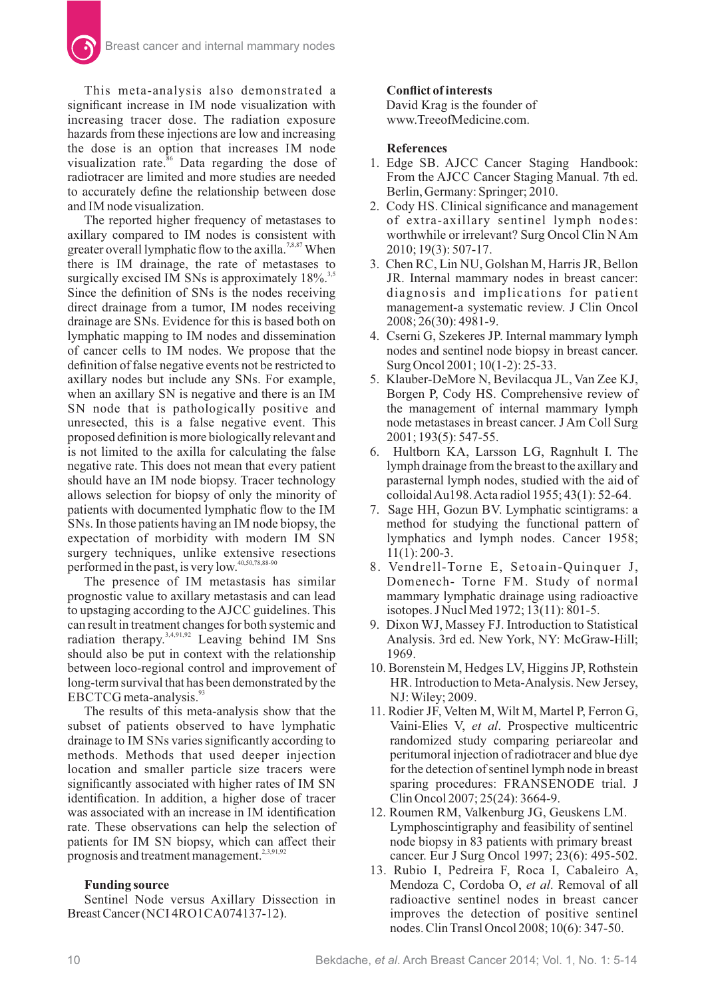This meta-analysis also demonstrated a significant increase in IM node visualization with increasing tracer dose. The radiation exposure hazards from these injections are low and increasing the dose is an option that increases IM node visualization rate.<sup>86</sup> Data regarding the dose of radiotracer are limited and more studies are needed to accurately define the relationship between dose and IM node visualization.

The reported higher frequency of metastases to axillary compared to IM nodes is consistent with greater overall lymphatic flow to the axilla.<sup>7,8,87</sup> When there is IM drainage, the rate of metastases to surgically excised IM SNs is approximately  $18\%$ <sup>3,5</sup> Since the definition of SNs is the nodes receiving direct drainage from a tumor, IM nodes receiving drainage are SNs. Evidence for this is based both on lymphatic mapping to IM nodes and dissemination of cancer cells to IM nodes. We propose that the definition of false negative events not be restricted to axillary nodes but include any SNs. For example, when an axillary SN is negative and there is an IM SN node that is pathologically positive and unresected, this is a false negative event. This proposed definition is more biologically relevant and is not limited to the axilla for calculating the false negative rate. This does not mean that every patient should have an IM node biopsy. Tracer technology allows selection for biopsy of only the minority of patients with documented lymphatic flow to the IM SNs. In those patients having an IM node biopsy, the expectation of morbidity with modern IM SN surgery techniques, unlike extensive resections performed in the past, is very low.<sup>40,50,78,88-90</sup>

The presence of IM metastasis has similar prognostic value to axillary metastasis and can lead to upstaging according to the AJCC guidelines. This can result in treatment changes for both systemic and radiation therapy. $3,4,91,92$  Leaving behind IM Sns should also be put in context with the relationship between loco-regional control and improvement of long-term survival that has been demonstrated by the EBCTCG meta-analysis.<sup>93</sup>

The results of this meta-analysis show that the subset of patients observed to have lymphatic drainage to IM SNs varies significantly according to methods. Methods that used deeper injection location and smaller particle size tracers were significantly associated with higher rates of IM SN identification. In addition, a higher dose of tracer was associated with an increase in IM identification rate. These observations can help the selection of patients for IM SN biopsy, which can affect their prognosis and treatment management.<sup>2,3,91,92</sup>

# **Funding source**

Sentinel Node versus Axillary Dissection in Breast Cancer (NCI 4RO 1 CA074137-12).

# **Conflict of interests**

David Krag is the founder of www.TreeofMedicine.com.

# **References**

- 1. Edge SB. AJCC Cancer Staging Handbook: From the AJCC Cancer Staging Manual. 7th ed. Berlin, Germany: Springer; 2010.
- 2. Cody HS. Clinical significance and management of extra-axillary sentinel lymph nodes: worthwhile or irrelevant? Surg Oncol Clin N Am 2010; 19(3): 507-17.
- 3. Chen RC, Lin NU, Golshan M, Harris JR, Bellon JR. Internal mammary nodes in breast cancer: diagnosis and implications for patient management-a systematic review. J Clin Oncol 2008; 26(30): 4981-9.
- 4. Cserni G, Szekeres JP. Internal mammary lymph nodes and sentinel node biopsy in breast cancer. Surg Oncol 2001; 10(1-2): 25-33.
- 5. Klauber-DeMore N, Bevilacqua JL, Van Zee KJ, Borgen P, Cody HS. Comprehensive review of the management of internal mammary lymph node metastases in breast cancer. J Am Coll Surg 2001; 193(5): 547-55.
- 6. Hultborn KA, Larsson LG, Ragnhult I. The lymph drainage from the breast to the axillary and parasternal lymph nodes, studied with the aid of colloidalAu198.Acta radiol 1955; 43(1): 52-64.
- 7. Sage HH, Gozun BV. Lymphatic scintigrams: a method for studying the functional pattern of lymphatics and lymph nodes. Cancer 1958; 11(1): 200-3.
- 8. Vendrell-Torne E, Setoain-Quinquer J, Domenech- Torne FM. Study of normal mammary lymphatic drainage using radioactive isotopes. J Nucl Med 1972; 13(11): 801-5.
- 9. Dixon WJ, Massey FJ. Introduction to Statistical Analysis. 3rd ed. New York, NY: McGraw-Hill; 1969.
- 10. Borenstein M, Hedges LV, Higgins JP, Rothstein HR. Introduction to Meta-Analysis. New Jersey, NJ: Wiley; 2009.
- 11. Rodier JF, Velten M, Wilt M, Martel P, Ferron G, Vaini-Elies V, et al. Prospective multicentric randomized study comparing periareolar and peritumoral injection of radiotracer and blue dye for the detection of sentinel lymph node in breast sparing procedures: FRANSENODE trial. J Clin Oncol 2007; 25(24): 3664-9.
- 12. Roumen RM, Valkenburg JG, Geuskens LM. Lymphoscintigraphy and feasibility of sentinel node biopsy in 83 patients with primary breast cancer. Eur J Surg Oncol 1997; 23(6): 495-502.
- 13. Rubio I, Pedreira F, Roca I, Cabaleiro A, Mendoza C, Cordoba O, et al. Removal of all radioactive sentinel nodes in breast cancer improves the detection of positive sentinel nodes. Clin Transl Oncol 2008; 10(6): 347-50.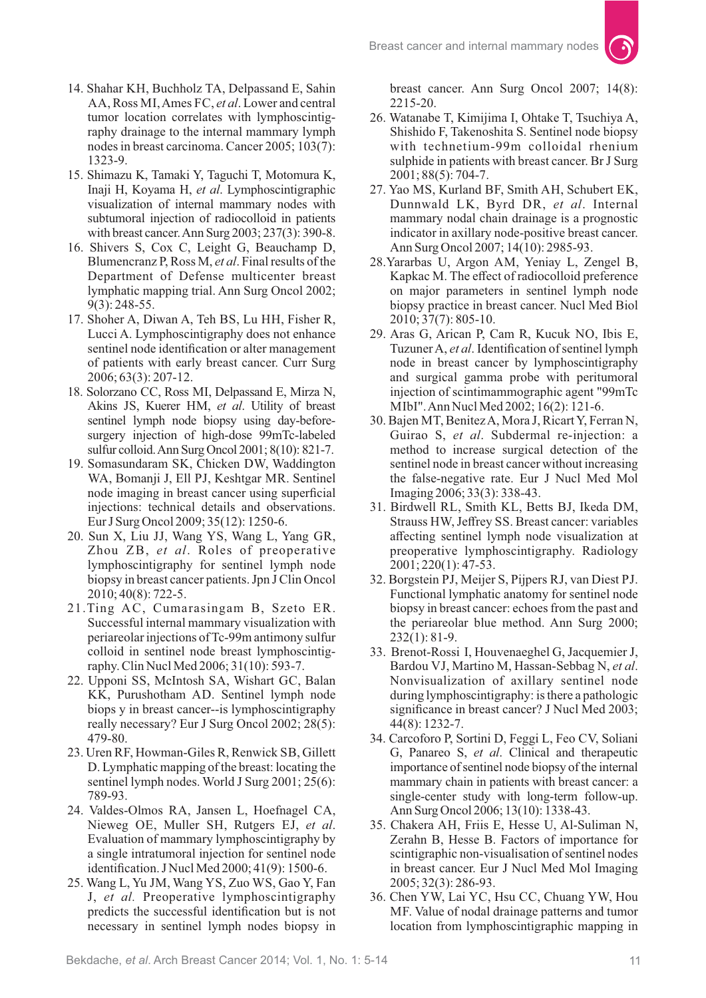- 14. Shahar KH, Buchholz TA, Delpassand E, Sahin AA, Ross MI, Ames FC, *et al*. Lower and central tumor location correlates with lymphoscintigraphy drainage to the internal mammary lymph nodes in breast carcinoma. Cancer 2005; 103(7): 1323-9.
- 15. Shimazu K, Tamaki Y, Taguchi T, Motomura K, Inaji H, Koyama H, et al. Lymphoscintigraphic visualization of internal mammary nodes with subtumoral injection of radiocolloid in patients with breast cancer.Ann Surg 2003; 237(3): 390-8.
- 16. Shivers S, Cox C, Leight G, Beauchamp D, Blumencranz P, Ross M, *et al*. Final results of the Department of Defense multicenter breast lymphatic mapping trial. Ann Surg Oncol 2002; 9(3): 248-55.
- 17. Shoher A, Diwan A, Teh BS, Lu HH, Fisher R, Lucci A. Lymphoscintigraphy does not enhance sentinel node identification or alter management of patients with early breast cancer. Curr Surg 2006; 63(3): 207-12.
- 18. Solorzano CC, Ross MI, Delpassand E, Mirza N, Akins JS, Kuerer HM, et al. Utility of breast sentinel lymph node biopsy using day-beforesurgery injection of high-dose 99mTc-labeled sulfur colloid.Ann Surg Oncol 2001; 8(10): 821-7.
- 19. Somasundaram SK, Chicken DW, Waddington WA, Bomanji J, Ell PJ, Keshtgar MR. Sentinel node imaging in breast cancer using superficial injections: technical details and observations. Eur J Surg Oncol 2009; 35(12): 1250-6.
- 20. Sun X, Liu JJ, Wang YS, Wang L, Yang GR, Zhou ZB, et al. Roles of preoperative lymphoscintigraphy for sentinel lymph node biopsy in breast cancer patients. Jpn J Clin Oncol 2010; 40(8): 722-5.
- 21. Ting AC, Cumarasingam B, Szeto ER. Successful internal mammary visualization with periareolar injections of Tc-99m antimony sulfur colloid in sentinel node breast lymphoscintigraphy. Clin Nucl Med 2006; 31(10): 593-7.
- 22. Upponi SS, McIntosh SA, Wishart GC, Balan KK, Purushotham AD. Sentinel lymph node biops y in breast cancer--is lymphoscintigraphy really necessary? Eur J Surg Oncol 2002; 28(5): 479-80.
- 23. Uren RF, Howman-Giles R, Renwick SB, Gillett D. Lymphatic mapping of the breast: locating the sentinel lymph nodes. World J Surg 2001; 25(6): 789-93.
- 24. Valdes-Olmos RA, Jansen L, Hoefnagel CA, Nieweg OE, Muller SH, Rutgers EJ, et al. Evaluation of mammary lymphoscintigraphy by a single intratumoral injection for sentinel node identification. J Nucl Med 2000; 41(9): 1500-6.
- 25. Wang L, Yu JM, Wang YS, Zuo WS, Gao Y, Fan J, et al. Preoperative lymphoscintigraphy predicts the successful identification but is not necessary in sentinel lymph nodes biopsy in

breast cancer. Ann Surg Oncol 2007; 14(8): 2215-20.

- 26. Watanabe T, Kimijima I, Ohtake T, Tsuchiya A, Shishido F, Takenoshita S. Sentinel node biopsy with technetium-99m colloidal rhenium sulphide in patients with breast cancer. Br J Surg 2001; 88(5): 704-7.
- 27. Yao MS, Kurland BF, Smith AH, Schubert EK, Dunnwald LK, Byrd DR, et al. Internal mammary nodal chain drainage is a prognostic indicator in axillary node-positive breast cancer. Ann Surg Oncol 2007; 14(10): 2985-93.
- 28. Yararbas U, Argon AM, Yeniay L, Zengel B, Kapkac M. The effect of radiocolloid preference on major parameters in sentinel lymph node biopsy practice in breast cancer. Nucl Med Biol 2010; 37(7): 805-10.
- 29. Aras G, Arican P, Cam R, Kucuk NO, Ibis E, Tuzuner A, *et al.* Identification of sentinel lymph node in breast cancer by lymphoscintigraphy and surgical gamma probe with peritumoral injection of scintimammographic agent "99mTc MIbI".Ann Nucl Med 2002; 16(2): 121-6.
- 30. Bajen MT, Benitez A, Mora J, Ricart Y, Ferran N, Guirao S, et al. Subdermal re-injection: a method to increase surgical detection of the sentinel node in breast cancer without increasing the false-negative rate. Eur J Nucl Med Mol Imaging 2006; 33(3): 338-43.
- 31. Birdwell RL, Smith KL, Betts BJ, Ikeda DM, Strauss HW, Jeffrey SS. Breast cancer: variables affecting sentinel lymph node visualization at preoperative lymphoscintigraphy. Radiology 2001; 220(1): 47-53.
- 32. Borgstein PJ, Meijer S, Pijpers RJ, van Diest PJ. Functional lymphatic anatomy for sentinel node biopsy in breast cancer: echoes from the past and the periareolar blue method. Ann Surg 2000; 232(1): 81-9.
- 33. Brenot-Rossi I, Houvenaeghel G, Jacquemier J, Bardou VJ, Martino M, Hassan-Sebbag N, et al. Nonvisualization of axillary sentinel node during lymphoscintigraphy: is there a pathologic significance in breast cancer? J Nucl Med 2003; 44(8): 1232-7.
- 34. Carcoforo P, Sortini D, Feggi L, Feo CV, Soliani G, Panareo S, et al. Clinical and therapeutic importance of sentinel node biopsy of the internal mammary chain in patients with breast cancer: a single-center study with long-term follow-up. Ann Surg Oncol 2006; 13(10): 1338-43.
- 35. Chakera AH, Friis E, Hesse U, Al-Suliman N, Zerahn B, Hesse B. Factors of importance for scintigraphic non-visualisation of sentinel nodes in breast cancer. Eur J Nucl Med Mol Imaging 2005; 32(3): 286-93.
- 36. Chen YW, Lai YC, Hsu CC, Chuang YW, Hou MF. Value of nodal drainage patterns and tumor location from lymphoscintigraphic mapping in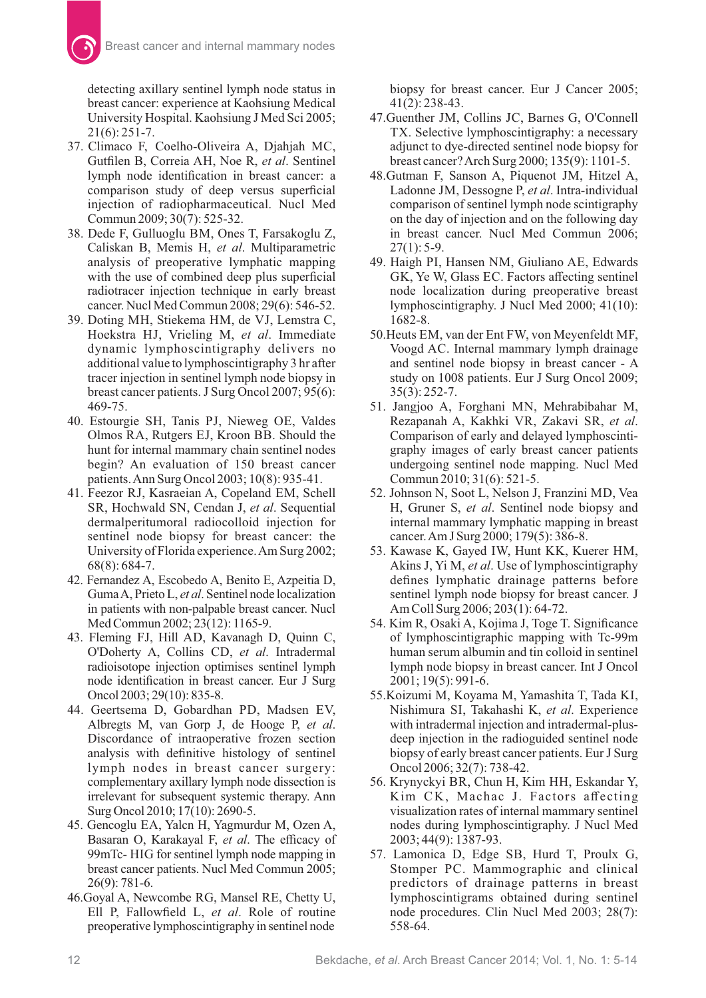detecting axillary sentinel lymph node status in breast cancer: experience at Kaohsiung Medical University Hospital. Kaohsiung J Med Sci 2005; 21(6): 251-7.

- 37. Climaco F, Coelho-Oliveira A, Djahjah MC, Gutfilen B, Correia AH, Noe R, et al. Sentinel lymph node identification in breast cancer: a comparison study of deep versus superficial injection of radiopharmaceutical. Nucl Med Commun 2009; 30(7): 525-32.
- 38. Dede F, Gulluoglu BM, Ones T, Farsakoglu Z, Caliskan B, Memis H, et al. Multiparametric analysis of preoperative lymphatic mapping with the use of combined deep plus superficial radiotracer injection technique in early breast cancer. Nucl Med Commun 2008; 29(6): 546-52.
- 39. Doting MH, Stiekema HM, de VJ, Lemstra C, Hoekstra HJ, Vrieling M, et al. Immediate dynamic lymphoscintigraphy delivers no additional value to lymphoscintigraphy 3 hr after tracer injection in sentinel lymph node biopsy in breast cancer patients. J Surg Oncol 2007; 95(6): 469-75.
- 40. Estourgie SH, Tanis PJ, Nieweg OE, Valdes Olmos RA, Rutgers EJ, Kroon BB. Should the hunt for internal mammary chain sentinel nodes begin? An evaluation of 150 breast cancer patients.Ann Surg Oncol 2003; 10(8): 935-41.
- 41. Feezor RJ, Kasraeian A, Copeland EM, Schell SR, Hochwald SN, Cendan J, et al. Sequential dermalperitumoral radiocolloid injection for sentinel node biopsy for breast cancer: the University of Florida experience.Am Surg 2002; 68(8): 684-7.
- 42. Fernandez A, Escobedo A, Benito E, Azpeitia D, Guma A, Prieto L, *et al*. Sentinel node localization in patients with non-palpable breast cancer. Nucl Med Commun 2002; 23(12): 1165-9.
- 43. Fleming FJ, Hill AD, Kavanagh D, Quinn C, O'Doherty A, Collins CD, et al. Intradermal radioisotope injection optimises sentinel lymph node identification in breast cancer. Eur J Surg Oncol 2003; 29(10): 835-8.
- 44. Geertsema D, Gobardhan PD, Madsen EV, Albregts M, van Gorp J, de Hooge P, et al. Discordance of intraoperative frozen section analysis with definitive histology of sentinel lymph nodes in breast cancer surgery: complementary axillary lymph node dissection is irrelevant for subsequent systemic therapy. Ann Surg Oncol 2010; 17(10): 2690-5.
- 45. Gencoglu EA, Yalcn H, Yagmurdur M, Ozen A, Basaran O, Karakayal F, et al. The efficacy of 99mTc- HIG for sentinel lymph node mapping in breast cancer patients. Nucl Med Commun 2005; 26(9): 781-6.
- 46. Goyal A, Newcombe RG, Mansel RE, Chetty U, Ell P, Fallowfield L, et al. Role of routine preoperative lymphoscintigraphy in sentinel node

biopsy for breast cancer. Eur J Cancer 2005; 41(2): 238-43.

- 47. Guenther JM, Collins JC, Barnes G, O'Connell TX. Selective lymphoscintigraphy: a necessary adjunct to dye-directed sentinel node biopsy for breast cancer?Arch Surg 2000; 135(9): 1101-5.
- 48.Gutman F, Sanson A, Piquenot JM, Hitzel A, Ladonne JM, Dessogne P, et al. Intra-individual comparison of sentinel lymph node scintigraphy on the day of injection and on the following day in breast cancer. Nucl Med Commun 2006;  $27(1): 5-9.$
- 49. Haigh PI, Hansen NM, Giuliano AE, Edwards GK, Ye W, Glass EC. Factors affecting sentinel node localization during preoperative breast lymphoscintigraphy. J Nucl Med 2000; 41(10): 1682-8.
- 50. Heuts EM, van der Ent FW, von Meyenfeldt MF, Voogd AC. Internal mammary lymph drainage and sentinel node biopsy in breast cancer - A study on 1008 patients. Eur J Surg Oncol 2009; 35(3): 252-7.
- 51. Jangjoo A, Forghani MN, Mehrabibahar M, Rezapanah A, Kakhki VR, Zakavi SR, et al. Comparison of early and delayed lymphoscintigraphy images of early breast cancer patients undergoing sentinel node mapping. Nucl Med Commun 2010; 31(6): 521-5.
- 52. Johnson N, Soot L, Nelson J, Franzini MD, Vea H, Gruner S, et al. Sentinel node biopsy and internal mammary lymphatic mapping in breast cancer.Am J Surg 2000; 179(5): 386-8.
- 53. Kawase K, Gayed IW, Hunt KK, Kuerer HM, Akins J, Yi M, *et al*. Use of lymphoscintigraphy defines lymphatic drainage patterns before sentinel lymph node biopsy for breast cancer. J Am Coll Surg 2006; 203(1): 64-72.
- 54. Kim R, Osaki A, Kojima J, Toge T. Significance of lymphoscintigraphic mapping with Tc-99m human serum albumin and tin colloid in sentinel lymph node biopsy in breast cancer. Int J Oncol 2001; 19(5): 991-6.
- 55. Koizumi M, Koyama M, Yamashita T, Tada KI, Nishimura SI, Takahashi K, et al. Experience with intradermal injection and intradermal-plusdeep injection in the radioguided sentinel node biopsy of early breast cancer patients. Eur J Surg Oncol 2006; 32(7): 738-42.
- 56. Krynyckyi BR, Chun H, Kim HH, Eskandar Y, Kim CK, Machac J. Factors affecting visualization rates of internal mammary sentinel nodes during lymphoscintigraphy. J Nucl Med 2003; 44(9): 1387-93.
- 57. Lamonica D, Edge SB, Hurd T, Proulx G, Stomper PC. Mammographic and clinical predictors of drainage patterns in breast lymphoscintigrams obtained during sentinel node procedures. Clin Nucl Med 2003; 28(7): 558-64.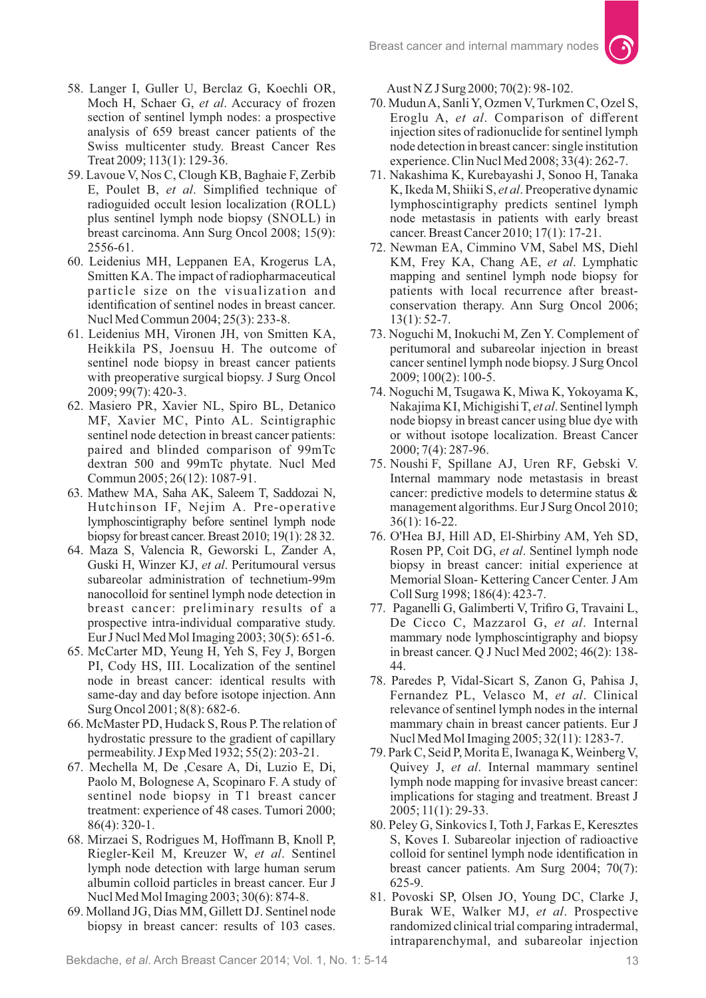- 58. Langer I, Guller U, Berclaz G, Koechli OR, Moch H, Schaer G, et al. Accuracy of frozen section of sentinel lymph nodes: a prospective analysis of 659 breast cancer patients of the Swiss multicenter study. Breast Cancer Res Treat 2009; 113(1): 129-36.
- 59. Lavoue V, Nos C, Clough KB, Baghaie F, Zerbib E, Poulet B, et al. Simplified technique of radioguided occult lesion localization (ROLL) plus sentinel lymph node biopsy (SNOLL) in breast carcinoma. Ann Surg Oncol 2008; 15(9): 2556-61.
- 60. Leidenius MH, Leppanen EA, Krogerus LA, Smitten KA. The impact of radiopharmaceutical particle size on the visualization and identification of sentinel nodes in breast cancer. Nucl Med Commun 2004; 25(3): 233-8.
- 61. Leidenius MH, Vironen JH, von Smitten KA, Heikkila PS, Joensuu H. The outcome of sentinel node biopsy in breast cancer patients with preoperative surgical biopsy. J Surg Oncol 2009; 99(7): 420-3.
- 62. Masiero PR, Xavier NL, Spiro BL, Detanico MF, Xavier MC, Pinto AL. Scintigraphic sentinel node detection in breast cancer patients: paired and blinded comparison of 99mTc dextran 500 and 99mTc phytate. Nucl Med Commun 2005; 26(12): 1087-91.
- 63. Mathew MA, Saha AK, Saleem T, Saddozai N, Hutchinson IF, Nejim A. Pre-operative lymphoscintigraphy before sentinel lymph node biopsy for breast cancer. Breast 2010; 19(1): 28 32.
- 64. Maza S, Valencia R, Geworski L, Zander A, Guski H, Winzer KJ, *et al*. Peritumoural versus subareolar administration of technetium-99m nanocolloid for sentinel lymph node detection in breast cancer: preliminary results of a prospective intra-individual comparative study. Eur J Nucl Med Mol Imaging 2003; 30(5): 651-6.
- 65. McCarter MD, Yeung H, Yeh S, Fey J, Borgen PI, Cody HS, III. Localization of the sentinel node in breast cancer: identical results with same-day and day before isotope injection. Ann Surg Oncol 2001; 8(8): 682-6.
- 66. McMaster PD, Hudack S, Rous P. The relation of hydrostatic pressure to the gradient of capillary permeability. J Exp Med 1932; 55(2): 203-21.
- 67. Mechella M, De ,Cesare A, Di, Luzio E, Di, Paolo M, Bolognese A, Scopinaro F. A study of sentinel node biopsy in T1 breast cancer treatment: experience of 48 cases. Tumori 2000; 86(4): 320-1.
- 68. Mirzaei S, Rodrigues M, Hoffmann B, Knoll P, Riegler-Keil M, Kreuzer W, et al. Sentinel lymph node detection with large human serum albumin colloid particles in breast cancer. Eur J Nucl Med Mol Imaging 2003; 30(6): 874-8.
- 69. Molland JG, Dias MM, Gillett DJ. Sentinel node biopsy in breast cancer: results of 103 cases.

Aust N Z J Surg 2000; 70(2): 98-102.

- 70. MudunA, Sanli Y, Ozmen V, Turkmen C, Ozel S, Eroglu A, et al. Comparison of different injection sites of radionuclide for sentinel lymph node detection in breast cancer: single institution experience. Clin Nucl Med 2008; 33(4): 262-7.
- 71. Nakashima K, Kurebayashi J, Sonoo H, Tanaka K, Ikeda M, Shiiki S, et al. Preoperative dynamic lymphoscintigraphy predicts sentinel lymph node metastasis in patients with early breast cancer. Breast Cancer 2010; 17(1): 17-21.
- 72. Newman EA, Cimmino VM, Sabel MS, Diehl KM, Frey KA, Chang AE, *et al.* Lymphatic mapping and sentinel lymph node biopsy for patients with local recurrence after breastconservation therapy. Ann Surg Oncol 2006; 13(1): 52-7.
- 73. Noguchi M, Inokuchi M, Zen Y. Complement of peritumoral and subareolar injection in breast cancer sentinel lymph node biopsy. J Surg Oncol 2009; 100(2): 100-5.
- 74. Noguchi M, Tsugawa K, Miwa K, Yokoyama K, Nakajima KI, Michigishi T, et al. Sentinel lymph node biopsy in breast cancer using blue dye with or without isotope localization. Breast Cancer 2000; 7(4): 287-96.
- 75. Noushi F, Spillane AJ, Uren RF, Gebski V. Internal mammary node metastasis in breast cancer: predictive models to determine status & management algorithms. Eur J Surg Oncol 2010; 36(1): 16-22.
- 76. O'Hea BJ, Hill AD, El-Shirbiny AM, Yeh SD, Rosen PP, Coit DG, et al. Sentinel lymph node biopsy in breast cancer: initial experience at Memorial Sloan- Kettering Cancer Center. J Am Coll Surg 1998; 186(4): 423-7.
- 77. Paganelli G, Galimberti V, Trifiro G, Travaini L, De Cicco C, Mazzarol G, et al. Internal mammary node lymphoscintigraphy and biopsy in breast cancer. Q J Nucl Med 2002; 46(2): 138- 44.
- 78. Paredes P, Vidal-Sicart S, Zanon G, Pahisa J, Fernandez PL, Velasco M, et al. Clinical relevance of sentinel lymph nodes in the internal mammary chain in breast cancer patients. Eur J Nucl Med Mol Imaging 2005; 32(11): 1283-7.
- 79. Park C, Seid P, Morita E, Iwanaga K, Weinberg V, Quivey J, et al. Internal mammary sentinel lymph node mapping for invasive breast cancer: implications for staging and treatment. Breast J 2005; 11(1): 29-33.
- 80. Peley G, Sinkovics I, Toth J, Farkas E, Keresztes S, Koves I. Subareolar injection of radioactive colloid for sentinel lymph node identification in breast cancer patients. Am Surg 2004; 70(7): 625-9.
- 81. Povoski SP, Olsen JO, Young DC, Clarke J, Burak WE, Walker MJ, et al. Prospective randomized clinical trial comparing intradermal, intraparenchymal, and subareolar injection